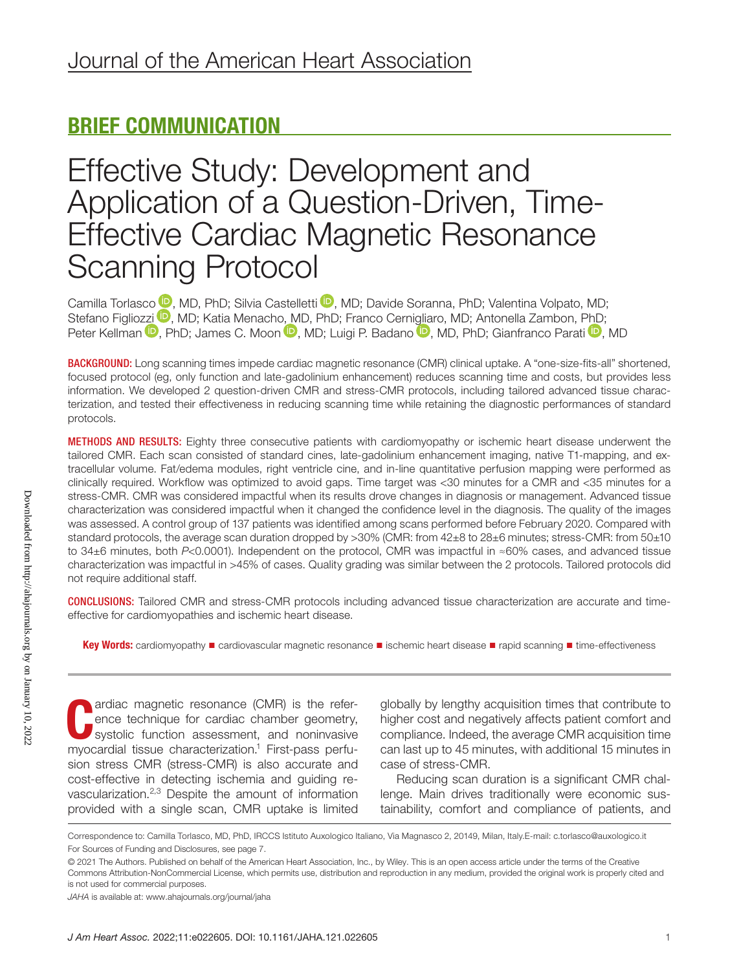# BRIEF COMMUNICATION

# Effective Study: Development and Application of a Question-Driven, Time-Effective Cardiac Magnetic Resonance Scanning Protocol

Camilla Torlasco <sup>(D</sup>[,](https://orcid.org/0000-0001-9693-4083) MD, PhD; Silvia Castelletti <sup>(D</sup>, MD; Davide Soranna, PhD; Valentina Volpato, MD; Stefano Figlio[zzi](https://orcid.org/0000-0002-9875-6070) <sup>(D</sup>[,](https://orcid.org/0000-0003-2991-1548) MD; Katia Menach[o, M](https://orcid.org/0000-0001-8071-1491)D, PhD; Franco Cern[iglia](https://orcid.org/0000-0002-0379-3283)ro, MD; Antonella Zambon, [PhD;](https://orcid.org/0000-0001-9402-7439) Peter Kellman <sup>(D</sup>, PhD; James C. Moon <sup>(D</sup>, MD; Luigi P. Badano <sup>(D</sup>, MD, PhD; Gianfranco Parati <sup>(D</sup>, MD)

BACKGROUND: Long scanning times impede cardiac magnetic resonance (CMR) clinical uptake. A "one-size-fits-all" shortened, focused protocol (eg, only function and late-gadolinium enhancement) reduces scanning time and costs, but provides less information. We developed 2 question-driven CMR and stress-CMR protocols, including tailored advanced tissue characterization, and tested their effectiveness in reducing scanning time while retaining the diagnostic performances of standard protocols.

METHODS AND RESULTS: Eighty three consecutive patients with cardiomyopathy or ischemic heart disease underwent the tailored CMR. Each scan consisted of standard cines, late-gadolinium enhancement imaging, native T1-mapping, and extracellular volume. Fat/edema modules, right ventricle cine, and in-line quantitative perfusion mapping were performed as clinically required. Workflow was optimized to avoid gaps. Time target was <30 minutes for a CMR and <35 minutes for a stress-CMR. CMR was considered impactful when its results drove changes in diagnosis or management. Advanced tissue characterization was considered impactful when it changed the confidence level in the diagnosis. The quality of the images was assessed. A control group of 137 patients was identified among scans performed before February 2020. Compared with standard protocols, the average scan duration dropped by >30% (CMR: from 42±8 to 28±6 minutes; stress-CMR: from 50±10 to 34±6 minutes, both *P*<0.0001). Independent on the protocol, CMR was impactful in ≈60% cases, and advanced tissue characterization was impactful in >45% of cases. Quality grading was similar between the 2 protocols. Tailored protocols did not require additional staff.

CONCLUSIONS: Tailored CMR and stress-CMR protocols including advanced tissue characterization are accurate and timeeffective for cardiomyopathies and ischemic heart disease.

Key Words: cardiomyopathy ■ cardiovascular magnetic resonance ■ ischemic heart disease ■ rapid scanning ■ time-effectiveness

ardiac magnetic resonance (CMR) is the reference technique for cardiac chamber geometry, systolic function assessment, and noninvasive myocardial tissue characterization.<sup>1</sup> First-pass perfuardiac magnetic resonance (CMR) is the reference technique for cardiac chamber geometry, systolic function assessment, and noninvasive sion stress CMR (stress-CMR) is also accurate and cost-effective in detecting ischemia and guiding revascularization.2,3 Despite the amount of information provided with a single scan, CMR uptake is limited

globally by lengthy acquisition times that contribute to higher cost and negatively affects patient comfort and compliance. Indeed, the average CMR acquisition time can last up to 45 minutes, with additional 15 minutes in case of stress-CMR.

Reducing scan duration is a significant CMR challenge. Main drives traditionally were economic sustainability, comfort and compliance of patients, and

Correspondence to: Camilla Torlasco, MD, PhD, IRCCS Istituto Auxologico Italiano, Via Magnasco 2, 20149, Milan, Italy.E-mail: [c.torlasco@auxologico.it](mailto:c.torlasco@auxologico.it) For Sources of Funding and Disclosures, see page 7.

<sup>© 2021</sup> The Authors. Published on behalf of the American Heart Association, Inc., by Wiley. This is an open access article under the terms of the [Creative](http://creativecommons.org/licenses/by-nc/4.0/)  [Commons Attribution-NonCommercial](http://creativecommons.org/licenses/by-nc/4.0/) License, which permits use, distribution and reproduction in any medium, provided the original work is properly cited and is not used for commercial purposes.

*JAHA* is available at: [www.ahajournals.org/journal/jaha](https://www.ahajournals.org/journal/jaha)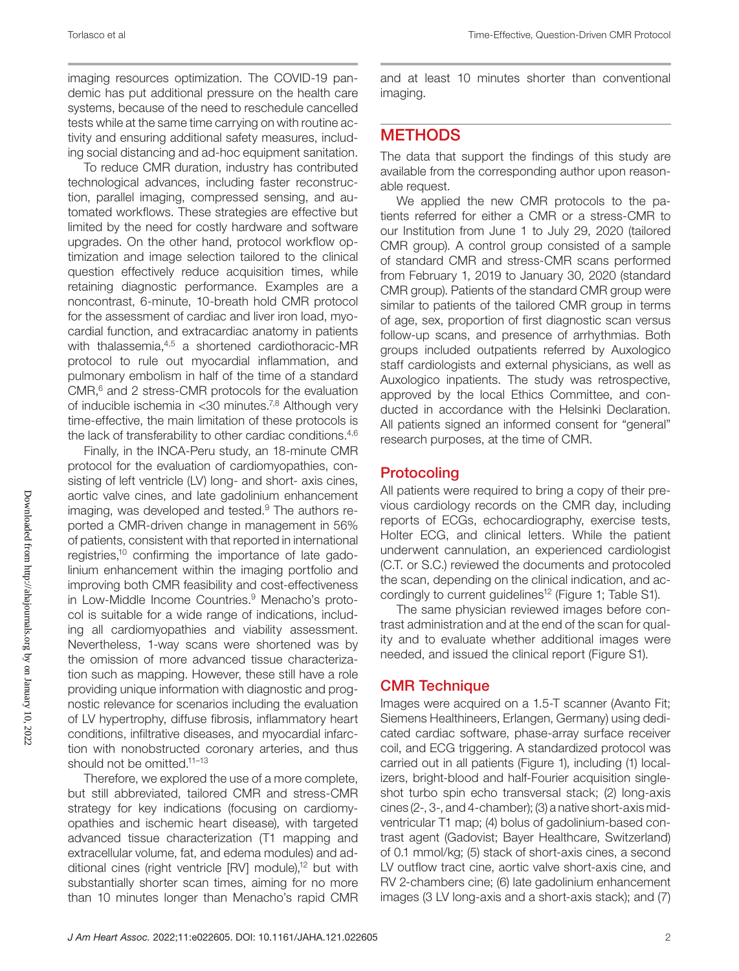imaging resources optimization. The COVID-19 pandemic has put additional pressure on the health care systems, because of the need to reschedule cancelled tests while at the same time carrying on with routine activity and ensuring additional safety measures, including social distancing and ad-hoc equipment sanitation.

To reduce CMR duration, industry has contributed technological advances, including faster reconstruction, parallel imaging, compressed sensing, and automated workflows. These strategies are effective but limited by the need for costly hardware and software upgrades. On the other hand, protocol workflow optimization and image selection tailored to the clinical question effectively reduce acquisition times, while retaining diagnostic performance. Examples are a noncontrast, 6-minute, 10-breath hold CMR protocol for the assessment of cardiac and liver iron load, myocardial function, and extracardiac anatomy in patients with thalassemia, 4,5 a shortened cardiothoracic-MR protocol to rule out myocardial inflammation, and pulmonary embolism in half of the time of a standard CMR,<sup>6</sup> and 2 stress-CMR protocols for the evaluation of inducible ischemia in <30 minutes.7,8 Although very time-effective, the main limitation of these protocols is the lack of transferability to other cardiac conditions.<sup>4,6</sup>

Finally, in the INCA-Peru study, an 18-minute CMR protocol for the evaluation of cardiomyopathies, consisting of left ventricle (LV) long- and short- axis cines, aortic valve cines, and late gadolinium enhancement imaging, was developed and tested.<sup>9</sup> The authors reported a CMR-driven change in management in 56% of patients, consistent with that reported in international registries,10 confirming the importance of late gadolinium enhancement within the imaging portfolio and improving both CMR feasibility and cost-effectiveness in Low-Middle Income Countries.<sup>9</sup> Menacho's protocol is suitable for a wide range of indications, including all cardiomyopathies and viability assessment. Nevertheless, 1-way scans were shortened was by the omission of more advanced tissue characterization such as mapping. However, these still have a role providing unique information with diagnostic and prognostic relevance for scenarios including the evaluation of LV hypertrophy, diffuse fibrosis, inflammatory heart conditions, infiltrative diseases, and myocardial infarction with nonobstructed coronary arteries, and thus should not be omitted.<sup>11-13</sup>

Therefore, we explored the use of a more complete, but still abbreviated, tailored CMR and stress-CMR strategy for key indications (focusing on cardiomyopathies and ischemic heart disease), with targeted advanced tissue characterization (T1 mapping and extracellular volume, fat, and edema modules) and additional cines (right ventricle [RV] module),<sup>12</sup> but with substantially shorter scan times, aiming for no more than 10 minutes longer than Menacho's rapid CMR

and at least 10 minutes shorter than conventional imaging.

## **METHODS**

The data that support the findings of this study are available from the corresponding author upon reasonable request.

We applied the new CMR protocols to the patients referred for either a CMR or a stress-CMR to our Institution from June 1 to July 29, 2020 (tailored CMR group). A control group consisted of a sample of standard CMR and stress-CMR scans performed from February 1, 2019 to January 30, 2020 (standard CMR group). Patients of the standard CMR group were similar to patients of the tailored CMR group in terms of age, sex, proportion of first diagnostic scan versus follow-up scans, and presence of arrhythmias. Both groups included outpatients referred by Auxologico staff cardiologists and external physicians, as well as Auxologico inpatients. The study was retrospective, approved by the local Ethics Committee, and conducted in accordance with the Helsinki Declaration. All patients signed an informed consent for "general" research purposes, at the time of CMR.

## **Protocoling**

All patients were required to bring a copy of their previous cardiology records on the CMR day, including reports of ECGs, echocardiography, exercise tests, Holter ECG, and clinical letters. While the patient underwent cannulation, an experienced cardiologist (C.T. or S.C.) reviewed the documents and protocoled the scan, depending on the clinical indication, and accordingly to current guidelines<sup>12</sup> (Figure 1; Table S1).

The same physician reviewed images before contrast administration and at the end of the scan for quality and to evaluate whether additional images were needed, and issued the clinical report (Figure S1).

## CMR Technique

Images were acquired on a 1.5-T scanner (Avanto Fit; Siemens Healthineers, Erlangen, Germany) using dedicated cardiac software, phase-array surface receiver coil, and ECG triggering. A standardized protocol was carried out in all patients (Figure 1), including (1) localizers, bright-blood and half-Fourier acquisition singleshot turbo spin echo transversal stack; (2) long-axis cines (2-, 3-, and 4-chamber); (3) a native short-axis midventricular T1 map; (4) bolus of gadolinium-based contrast agent (Gadovist; Bayer Healthcare, Switzerland) of 0.1 mmol/kg; (5) stack of short-axis cines, a second LV outflow tract cine, aortic valve short-axis cine, and RV 2-chambers cine; (6) late gadolinium enhancement images (3 LV long-axis and a short-axis stack); and (7)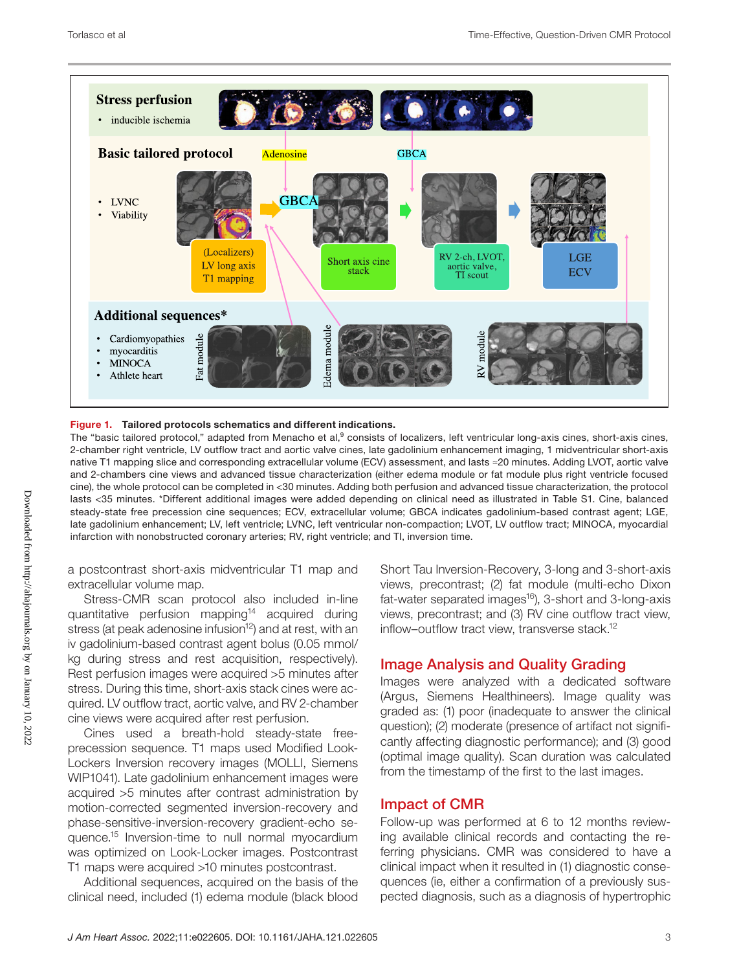

#### Figure 1. Tailored protocols schematics and different indications.

The "basic tailored protocol," adapted from Menacho et al,<sup>9</sup> consists of localizers, left ventricular long-axis cines, short-axis cines, 2-chamber right ventricle, LV outflow tract and aortic valve cines, late gadolinium enhancement imaging, 1 midventricular short-axis native T1 mapping slice and corresponding extracellular volume (ECV) assessment, and lasts ≈20 minutes. Adding LVOT, aortic valve and 2-chambers cine views and advanced tissue characterization (either edema module or fat module plus right ventricle focused cine), the whole protocol can be completed in <30 minutes. Adding both perfusion and advanced tissue characterization, the protocol lasts <35 minutes. \*Different additional images were added depending on clinical need as illustrated in Table S1. Cine, balanced steady-state free precession cine sequences; ECV, extracellular volume; GBCA indicates gadolinium-based contrast agent; LGE, late gadolinium enhancement; LV, left ventricle; LVNC, left ventricular non-compaction; LVOT, LV outflow tract; MINOCA, myocardial infarction with nonobstructed coronary arteries; RV, right ventricle; and TI, inversion time.

a postcontrast short-axis midventricular T1 map and extracellular volume map.

Stress-CMR scan protocol also included in-line quantitative perfusion mapping<sup>14</sup> acquired during stress (at peak adenosine infusion<sup>12</sup>) and at rest, with an iv gadolinium-based contrast agent bolus (0.05 mmol/ kg during stress and rest acquisition, respectively). Rest perfusion images were acquired >5 minutes after stress. During this time, short-axis stack cines were acquired. LV outflow tract, aortic valve, and RV 2-chamber cine views were acquired after rest perfusion.

Cines used a breath-hold steady-state freeprecession sequence. T1 maps used Modified Look-Lockers Inversion recovery images (MOLLI, Siemens WIP1041). Late gadolinium enhancement images were acquired >5 minutes after contrast administration by motion-corrected segmented inversion-recovery and phase-sensitive-inversion-recovery gradient-echo sequence.15 Inversion-time to null normal myocardium was optimized on Look-Locker images. Postcontrast T1 maps were acquired >10 minutes postcontrast.

Additional sequences, acquired on the basis of the clinical need, included (1) edema module (black blood

Short Tau Inversion-Recovery, 3-long and 3-short-axis views, precontrast; (2) fat module (multi-echo Dixon fat-water separated images<sup>16</sup>), 3-short and 3-long-axis views, precontrast; and (3) RV cine outflow tract view, inflow–outflow tract view, transverse stack.<sup>12</sup>

### Image Analysis and Quality Grading

Images were analyzed with a dedicated software (Argus, Siemens Healthineers). Image quality was graded as: (1) poor (inadequate to answer the clinical question); (2) moderate (presence of artifact not significantly affecting diagnostic performance); and (3) good (optimal image quality). Scan duration was calculated from the timestamp of the first to the last images.

#### Impact of CMR

Follow-up was performed at 6 to 12 months reviewing available clinical records and contacting the referring physicians. CMR was considered to have a clinical impact when it resulted in (1) diagnostic consequences (ie, either a confirmation of a previously suspected diagnosis, such as a diagnosis of hypertrophic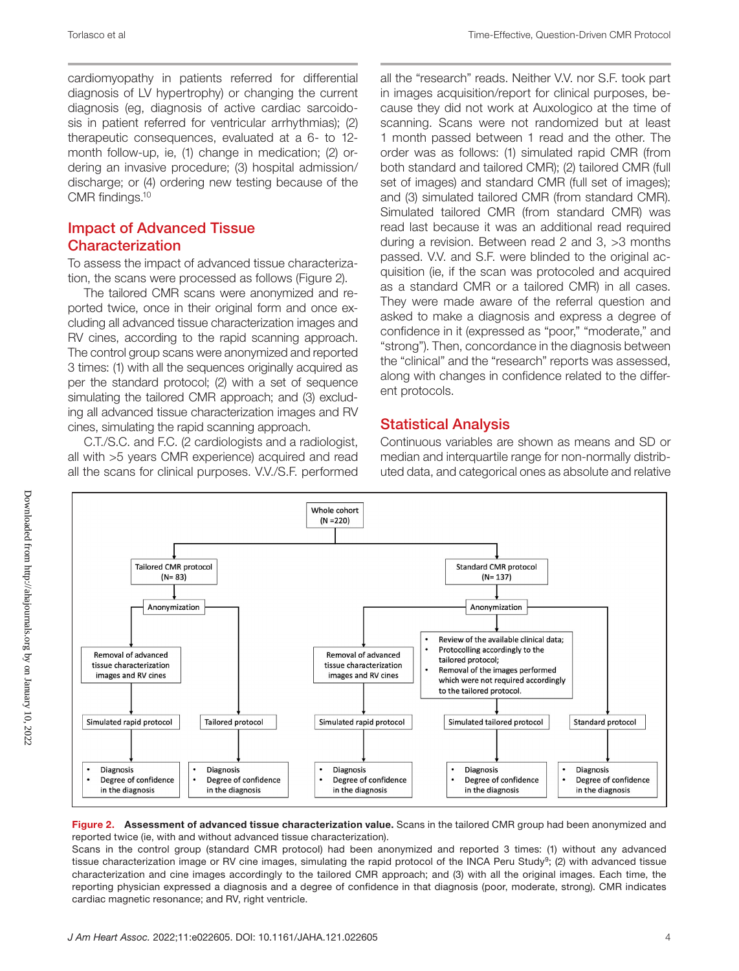cardiomyopathy in patients referred for differential diagnosis of LV hypertrophy) or changing the current diagnosis (eg, diagnosis of active cardiac sarcoidosis in patient referred for ventricular arrhythmias); (2) therapeutic consequences, evaluated at a 6- to 12 month follow-up, ie, (1) change in medication; (2) ordering an invasive procedure; (3) hospital admission/ discharge; or (4) ordering new testing because of the CMR findings.10

### Impact of Advanced Tissue Characterization

To assess the impact of advanced tissue characterization, the scans were processed as follows (Figure 2).

The tailored CMR scans were anonymized and reported twice, once in their original form and once excluding all advanced tissue characterization images and RV cines, according to the rapid scanning approach. The control group scans were anonymized and reported 3 times: (1) with all the sequences originally acquired as per the standard protocol; (2) with a set of sequence simulating the tailored CMR approach; and (3) excluding all advanced tissue characterization images and RV cines, simulating the rapid scanning approach.

C.T./S.C. and F.C. (2 cardiologists and a radiologist, all with >5 years CMR experience) acquired and read all the scans for clinical purposes. V.V./S.F. performed all the "research" reads. Neither V.V. nor S.F. took part in images acquisition/report for clinical purposes, because they did not work at Auxologico at the time of scanning. Scans were not randomized but at least 1 month passed between 1 read and the other. The order was as follows: (1) simulated rapid CMR (from both standard and tailored CMR); (2) tailored CMR (full set of images) and standard CMR (full set of images); and (3) simulated tailored CMR (from standard CMR). Simulated tailored CMR (from standard CMR) was read last because it was an additional read required during a revision. Between read 2 and 3, >3 months passed. V.V. and S.F. were blinded to the original acquisition (ie, if the scan was protocoled and acquired as a standard CMR or a tailored CMR) in all cases. They were made aware of the referral question and asked to make a diagnosis and express a degree of confidence in it (expressed as "poor," "moderate," and "strong"). Then, concordance in the diagnosis between the "clinical" and the "research" reports was assessed, along with changes in confidence related to the different protocols.

## Statistical Analysis

Continuous variables are shown as means and SD or median and interquartile range for non-normally distributed data, and categorical ones as absolute and relative



#### Figure 2. Assessment of advanced tissue characterization value. Scans in the tailored CMR group had been anonymized and reported twice (ie, with and without advanced tissue characterization).

Scans in the control group (standard CMR protocol) had been anonymized and reported 3 times: (1) without any advanced tissue characterization image or RV cine images, simulating the rapid protocol of the INCA Peru Study<sup>9</sup>; (2) with advanced tissue characterization and cine images accordingly to the tailored CMR approach; and (3) with all the original images. Each time, the reporting physician expressed a diagnosis and a degree of confidence in that diagnosis (poor, moderate, strong). CMR indicates cardiac magnetic resonance; and RV, right ventricle.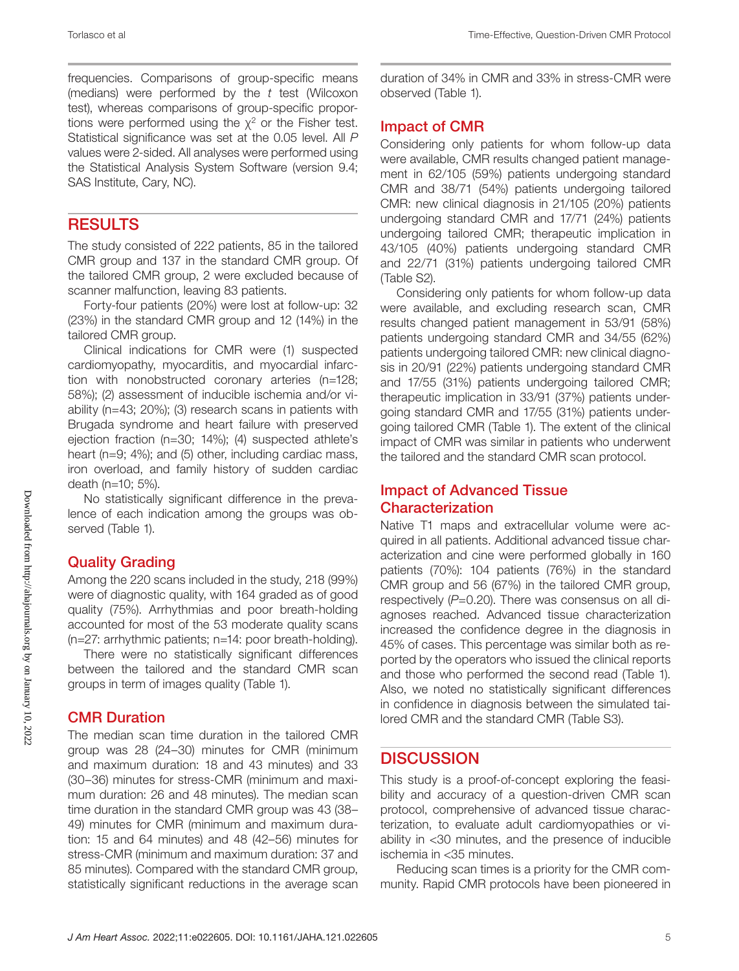frequencies. Comparisons of group-specific means (medians) were performed by the *t* test (Wilcoxon test), whereas comparisons of group-specific proportions were performed using the  $\chi^2$  or the Fisher test. Statistical significance was set at the 0.05 level. All *P* values were 2-sided. All analyses were performed using the Statistical Analysis System Software (version 9.4; SAS Institute, Cary, NC).

## **RESULTS**

The study consisted of 222 patients, 85 in the tailored CMR group and 137 in the standard CMR group. Of the tailored CMR group, 2 were excluded because of scanner malfunction, leaving 83 patients.

Forty-four patients (20%) were lost at follow-up: 32 (23%) in the standard CMR group and 12 (14%) in the tailored CMR group.

Clinical indications for CMR were (1) suspected cardiomyopathy, myocarditis, and myocardial infarction with nonobstructed coronary arteries (n=128; 58%); (2) assessment of inducible ischemia and/or viability (n=43; 20%); (3) research scans in patients with Brugada syndrome and heart failure with preserved ejection fraction (n=30; 14%); (4) suspected athlete's heart (n=9; 4%); and (5) other, including cardiac mass, iron overload, and family history of sudden cardiac death (n=10; 5%).

No statistically significant difference in the prevalence of each indication among the groups was observed (Table 1).

### Quality Grading

Among the 220 scans included in the study, 218 (99%) were of diagnostic quality, with 164 graded as of good quality (75%). Arrhythmias and poor breath-holding accounted for most of the 53 moderate quality scans (n=27: arrhythmic patients; n=14: poor breath-holding).

There were no statistically significant differences between the tailored and the standard CMR scan groups in term of images quality (Table 1).

## CMR Duration

The median scan time duration in the tailored CMR group was 28 (24–30) minutes for CMR (minimum and maximum duration: 18 and 43 minutes) and 33 (30–36) minutes for stress-CMR (minimum and maximum duration: 26 and 48 minutes). The median scan time duration in the standard CMR group was 43 (38– 49) minutes for CMR (minimum and maximum duration: 15 and 64 minutes) and 48 (42–56) minutes for stress-CMR (minimum and maximum duration: 37 and 85 minutes). Compared with the standard CMR group, statistically significant reductions in the average scan duration of 34% in CMR and 33% in stress-CMR were observed (Table 1).

## Impact of CMR

Considering only patients for whom follow-up data were available, CMR results changed patient management in 62/105 (59%) patients undergoing standard CMR and 38/71 (54%) patients undergoing tailored CMR: new clinical diagnosis in 21/105 (20%) patients undergoing standard CMR and 17/71 (24%) patients undergoing tailored CMR; therapeutic implication in 43/105 (40%) patients undergoing standard CMR and 22/71 (31%) patients undergoing tailored CMR (Table S2).

Considering only patients for whom follow-up data were available, and excluding research scan, CMR results changed patient management in 53/91 (58%) patients undergoing standard CMR and 34/55 (62%) patients undergoing tailored CMR: new clinical diagnosis in 20/91 (22%) patients undergoing standard CMR and 17/55 (31%) patients undergoing tailored CMR; therapeutic implication in 33/91 (37%) patients undergoing standard CMR and 17/55 (31%) patients undergoing tailored CMR (Table 1). The extent of the clinical impact of CMR was similar in patients who underwent the tailored and the standard CMR scan protocol.

### Impact of Advanced Tissue Characterization

Native T1 maps and extracellular volume were acquired in all patients. Additional advanced tissue characterization and cine were performed globally in 160 patients (70%): 104 patients (76%) in the standard CMR group and 56 (67%) in the tailored CMR group, respectively (*P*=0.20). There was consensus on all diagnoses reached. Advanced tissue characterization increased the confidence degree in the diagnosis in 45% of cases. This percentage was similar both as reported by the operators who issued the clinical reports and those who performed the second read (Table 1). Also, we noted no statistically significant differences in confidence in diagnosis between the simulated tailored CMR and the standard CMR (Table S3).

## **DISCUSSION**

This study is a proof-of-concept exploring the feasibility and accuracy of a question-driven CMR scan protocol, comprehensive of advanced tissue characterization, to evaluate adult cardiomyopathies or viability in <30 minutes, and the presence of inducible ischemia in <35 minutes.

Reducing scan times is a priority for the CMR community. Rapid CMR protocols have been pioneered in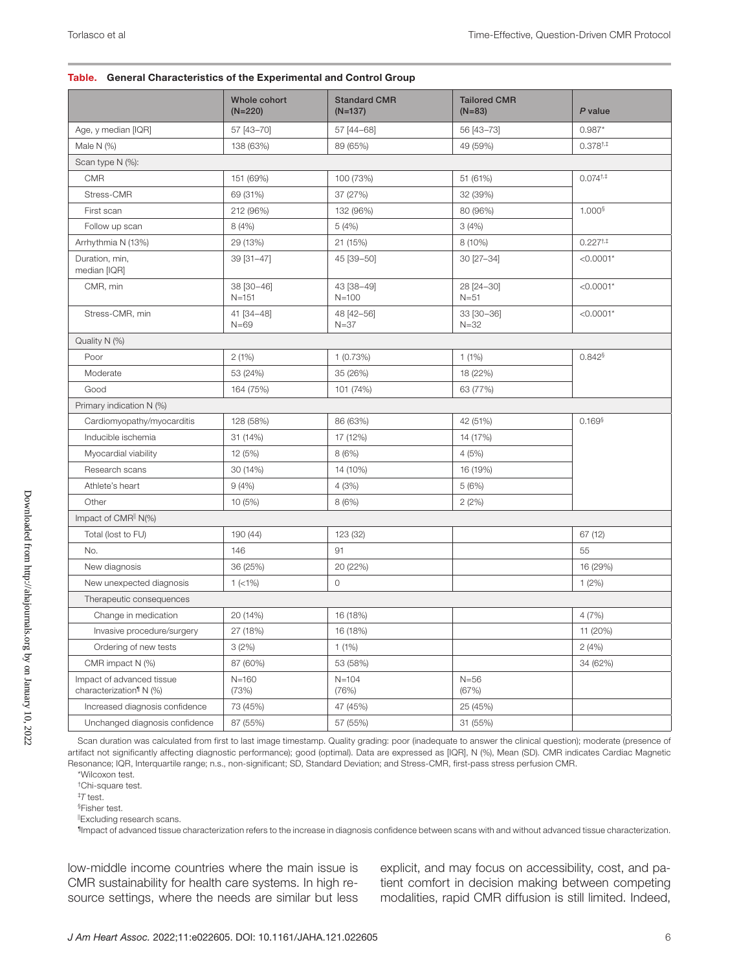#### Table. General Characteristics of the Experimental and Control Group

|                                                                  | Whole cohort<br>$(N=220)$ | <b>Standard CMR</b><br>$(N=137)$ | <b>Tailored CMR</b><br>$(N=83)$ | P value                     |
|------------------------------------------------------------------|---------------------------|----------------------------------|---------------------------------|-----------------------------|
| Age, y median [IQR]                                              | 57 [43-70]                | 57 [44-68]                       | 56 [43-73]                      | $0.987*$                    |
| Male $N$ (%)                                                     | 138 (63%)                 | 89 (65%)                         | 49 (59%)                        | $0.378^{+,+}$               |
| Scan type N (%):                                                 |                           |                                  |                                 |                             |
| <b>CMR</b>                                                       | 151 (69%)                 | 100 (73%)                        | 51 (61%)                        | $0.074^{\dagger, \ddagger}$ |
| Stress-CMR                                                       | 69 (31%)                  | 37 (27%)                         | 32 (39%)                        |                             |
| First scan                                                       | 212 (96%)                 | 132 (96%)                        | 80 (96%)                        | $1.000$ <sup>§</sup>        |
| Follow up scan                                                   | 8(4%)                     | 5(4%)                            | 3(4%)                           |                             |
| Arrhythmia N (13%)                                               | 29 (13%)                  | 21 (15%)                         | 8 (10%)                         | $0.227^{+,+}$               |
| Duration, min,<br>median [IQR]                                   | 39 [31-47]                | 45 [39-50]                       | 30 [27-34]                      | $< 0.0001*$                 |
| CMR, min                                                         | 38 [30-46]<br>$N = 151$   | 43 [38-49]<br>$N = 100$          | 28 [24-30]<br>$N = 51$          | $< 0.0001*$                 |
| Stress-CMR, min                                                  | 41 [34-48]<br>$N=69$      | 48 [42-56]<br>$N = 37$           | 33 [30-36]<br>$N = 32$          | $< 0.0001*$                 |
| Quality N (%)                                                    |                           |                                  |                                 |                             |
| Poor                                                             | 2(1%)                     | 1(0.73%)                         | 1(1%)                           | $0.842$ §                   |
| Moderate                                                         | 53 (24%)                  | 35 (26%)                         | 18 (22%)                        |                             |
| Good                                                             | 164 (75%)                 | 101 (74%)                        | 63 (77%)                        |                             |
| Primary indication N (%)                                         |                           |                                  |                                 |                             |
| Cardiomyopathy/myocarditis                                       | 128 (58%)                 | 86 (63%)                         | 42 (51%)                        | $0.169$ <sup>§</sup>        |
| Inducible ischemia                                               | 31 (14%)                  | 17 (12%)                         | 14 (17%)                        |                             |
| Myocardial viability                                             | 12 (5%)                   | 8(6%)                            | 4(5%)                           |                             |
| Research scans                                                   | 30 (14%)                  | 14 (10%)                         | 16 (19%)                        |                             |
| Athlete's heart                                                  | 9(4% )                    | 4(3%)                            | 5(6%)                           |                             |
| Other                                                            | 10 (5%)                   | 8 (6%)                           | 2(2%)                           |                             |
| Impact of CMR <sup>  </sup> $N$ (%)                              |                           |                                  |                                 |                             |
| Total (lost to FU)                                               | 190 (44)                  | 123 (32)                         |                                 | 67 (12)                     |
| No.                                                              | 146                       | 91                               |                                 | 55                          |
| New diagnosis                                                    | 36 (25%)                  | 20 (22%)                         |                                 | 16 (29%)                    |
| New unexpected diagnosis                                         | $1$ (<1%)                 | $\circ$                          |                                 | 1(2%)                       |
| Therapeutic consequences                                         |                           |                                  |                                 |                             |
| Change in medication                                             | 20 (14%)                  | 16 (18%)                         |                                 | 4(7%)                       |
| Invasive procedure/surgery                                       | 27 (18%)                  | 16 (18%)                         |                                 | 11 (20%)                    |
| Ordering of new tests                                            | 3(2%)                     | $1(1\%)$                         |                                 | 2(4%)                       |
| CMR impact N (%)                                                 | 87 (60%)                  | 53 (58%)                         |                                 | 34 (62%)                    |
| Impact of advanced tissue<br>characterization <sup>1</sup> N (%) | $N = 160$<br>(73%)        | $N = 104$<br>(76%)               | $N = 56$<br>(67%)               |                             |
| Increased diagnosis confidence                                   | 73 (45%)                  | 47 (45%)                         | 25 (45%)                        |                             |
| Unchanged diagnosis confidence                                   | 87 (55%)                  | 57 (55%)                         | 31 (55%)                        |                             |

Scan duration was calculated from first to last image timestamp. Quality grading: poor (inadequate to answer the clinical question); moderate (presence of artifact not significantly affecting diagnostic performance); good (optimal). Data are expressed as [IQR], N (%), Mean (SD). CMR indicates Cardiac Magnetic Resonance; IQR, Interquartile range; n.s., non-significant; SD, Standard Deviation; and Stress-CMR, first-pass stress perfusion CMR.

\*Wilcoxon test.

†Chi-square test.

‡ *T* test. §Fisher test.

||Excluding research scans.

¶Impact of advanced tissue characterization refers to the increase in diagnosis confidence between scans with and without advanced tissue characterization.

low-middle income countries where the main issue is CMR sustainability for health care systems. In high resource settings, where the needs are similar but less explicit, and may focus on accessibility, cost, and patient comfort in decision making between competing modalities, rapid CMR diffusion is still limited. Indeed,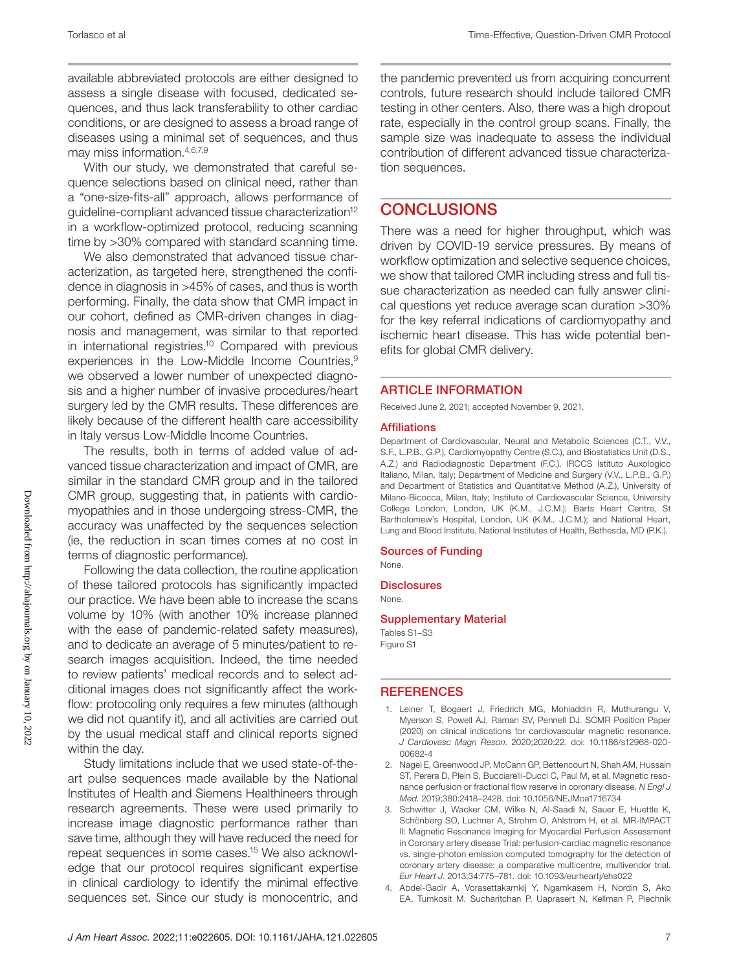available abbreviated protocols are either designed to assess a single disease with focused, dedicated sequences, and thus lack transferability to other cardiac conditions, or are designed to assess a broad range of diseases using a minimal set of sequences, and thus may miss information.4,6,7,9

With our study, we demonstrated that careful sequence selections based on clinical need, rather than a "one-size-fits-all" approach, allows performance of guideline-compliant advanced tissue characterization<sup>12</sup> in a workflow-optimized protocol, reducing scanning time by >30% compared with standard scanning time.

We also demonstrated that advanced tissue characterization, as targeted here, strengthened the confidence in diagnosis in >45% of cases, and thus is worth performing. Finally, the data show that CMR impact in our cohort, defined as CMR-driven changes in diagnosis and management, was similar to that reported in international registries.10 Compared with previous experiences in the Low-Middle Income Countries,<sup>9</sup> we observed a lower number of unexpected diagnosis and a higher number of invasive procedures/heart surgery led by the CMR results. These differences are likely because of the different health care accessibility in Italy versus Low-Middle Income Countries.

The results, both in terms of added value of advanced tissue characterization and impact of CMR, are similar in the standard CMR group and in the tailored CMR group, suggesting that, in patients with cardiomyopathies and in those undergoing stress-CMR, the accuracy was unaffected by the sequences selection (ie, the reduction in scan times comes at no cost in terms of diagnostic performance).

Following the data collection, the routine application of these tailored protocols has significantly impacted our practice. We have been able to increase the scans volume by 10% (with another 10% increase planned with the ease of pandemic-related safety measures), and to dedicate an average of 5 minutes/patient to research images acquisition. Indeed, the time needed to review patients' medical records and to select additional images does not significantly affect the workflow: protocoling only requires a few minutes (although we did not quantify it), and all activities are carried out by the usual medical staff and clinical reports signed within the day.

Study limitations include that we used state-of-theart pulse sequences made available by the National Institutes of Health and Siemens Healthineers through research agreements. These were used primarily to increase image diagnostic performance rather than save time, although they will have reduced the need for repeat sequences in some cases.15 We also acknowledge that our protocol requires significant expertise in clinical cardiology to identify the minimal effective sequences set. Since our study is monocentric, and the pandemic prevented us from acquiring concurrent controls, future research should include tailored CMR testing in other centers. Also, there was a high dropout rate, especially in the control group scans. Finally, the sample size was inadequate to assess the individual contribution of different advanced tissue characterization sequences.

## **CONCLUSIONS**

There was a need for higher throughput, which was driven by COVID-19 service pressures. By means of workflow optimization and selective sequence choices, we show that tailored CMR including stress and full tissue characterization as needed can fully answer clinical questions yet reduce average scan duration >30% for the key referral indications of cardiomyopathy and ischemic heart disease. This has wide potential benefits for global CMR delivery.

#### ARTICLE INFORMATION

Received June 2, 2021; accepted November 9, 2021.

#### Affiliations

Department of Cardiovascular, Neural and Metabolic Sciences (C.T., V.V., S.F., L.P.B., G.P.), Cardiomyopathy Centre (S.C.), and Biostatistics Unit (D.S., A.Z.) and Radiodiagnostic Department (F.C.), IRCCS Istituto Auxologico Italiano, Milan, Italy; Department of Medicine and Surgery (V.V., L.P.B., G.P.) and Department of Statistics and Quantitative Method (A.Z.), University of Milano-Bicocca, Milan, Italy; Institute of Cardiovascular Science, University College London, London, UK (K.M., J.C.M.); Barts Heart Centre, St Bartholomew's Hospital, London, UK (K.M., J.C.M.); and National Heart, Lung and Blood Institute, National Institutes of Health, Bethesda, MD (P.K.).

#### Sources of Funding None.

**Disclosures** None.

#### Supplementary Material

Tables S1–S3 Figure S1

#### **REFERENCES**

- 1. Leiner T, Bogaert J, Friedrich MG, Mohiaddin R, Muthurangu V, Myerson S, Powell AJ, Raman SV, Pennell DJ. SCMR Position Paper (2020) on clinical indications for cardiovascular magnetic resonance. *J Cardiovasc Magn Reson*. 2020;2020:22. doi: [10.1186/s12968-020-](https://doi.org/10.1186/s12968-020-00682-4) [00682-4](https://doi.org/10.1186/s12968-020-00682-4)
- 2. Nagel E, Greenwood JP, McCann GP, Bettencourt N, Shah AM, Hussain ST, Perera D, Plein S, Bucciarelli-Ducci C, Paul M, et al. Magnetic resonance perfusion or fractional flow reserve in coronary disease. *N Engl J Med*. 2019;380:2418–2428. doi: [10.1056/NEJMoa1716734](https://doi.org/10.1056/NEJMoa1716734)
- 3. Schwitter J, Wacker CM, Wilke N, Al-Saadi N, Sauer E, Huettle K, Schönberg SO, Luchner A, Strohm O, Ahlstrom H, et al. MR-IMPACT II: Magnetic Resonance Imaging for Myocardial Perfusion Assessment in Coronary artery disease Trial: perfusion-cardiac magnetic resonance vs. single-photon emission computed tomography for the detection of coronary artery disease: a comparative multicentre, multivendor trial. *Eur Heart J*. 2013;34:775–781. doi: [10.1093/eurheartj/ehs022](https://doi.org/10.1093/eurheartj/ehs022)
- 4. Abdel-Gadir A, Vorasettakarnkij Y, Ngamkasem H, Nordin S, Ako EA, Tumkosit M, Sucharitchan P, Uaprasert N, Kellman P, Piechnik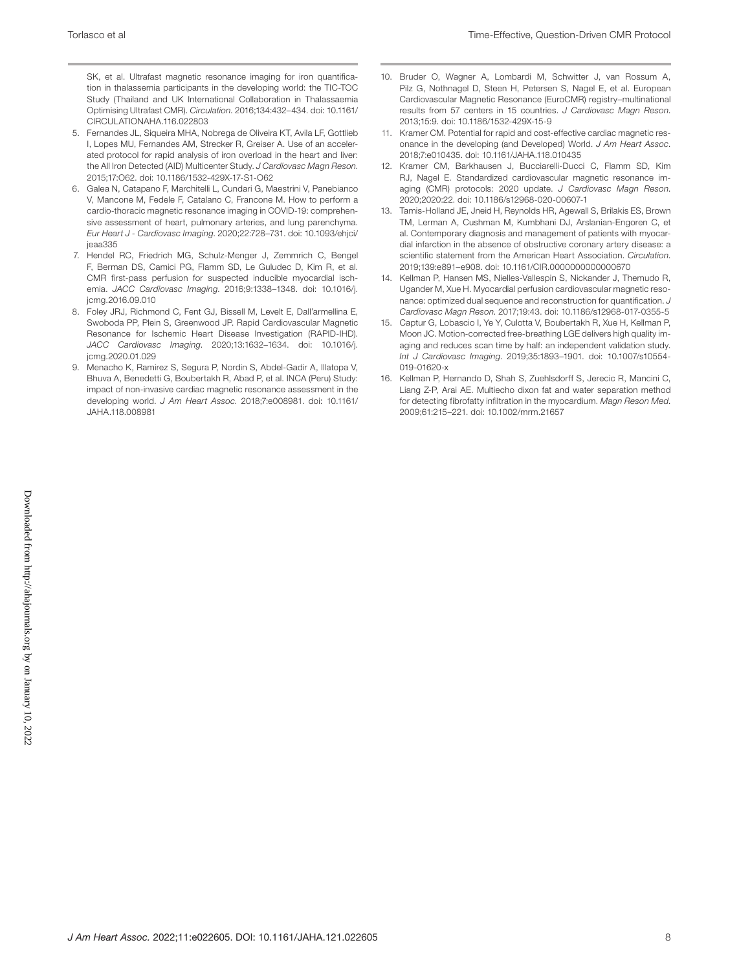SK, et al. Ultrafast magnetic resonance imaging for iron quantification in thalassemia participants in the developing world: the TIC-TOC Study (Thailand and UK International Collaboration in Thalassaemia Optimising Ultrafast CMR). *Circulation*. 2016;134:432–434. doi: [10.1161/](https://doi.org/10.1161/CIRCULATIONAHA.116.022803) [CIRCULATIONAHA.116.022803](https://doi.org/10.1161/CIRCULATIONAHA.116.022803)

- 5. Fernandes JL, Siqueira MHA, Nobrega de Oliveira KT, Avila LF, Gottlieb I, Lopes MU, Fernandes AM, Strecker R, Greiser A. Use of an accelerated protocol for rapid analysis of iron overload in the heart and liver: the All Iron Detected (AID) Multicenter Study. *J Cardiovasc Magn Reson*. 2015;17:O62. doi: [10.1186/1532-429X-17-S1-O62](https://doi.org/10.1186/1532-429X-17-S1-O62)
- 6. Galea N, Catapano F, Marchitelli L, Cundari G, Maestrini V, Panebianco V, Mancone M, Fedele F, Catalano C, Francone M. How to perform a cardio-thoracic magnetic resonance imaging in COVID-19: comprehensive assessment of heart, pulmonary arteries, and lung parenchyma. *Eur Heart J - Cardiovasc Imaging*. 2020;22:728–731. doi: [10.1093/ehjci/](https://doi.org/10.1093/ehjci/jeaa335) [jeaa335](https://doi.org/10.1093/ehjci/jeaa335)
- 7. Hendel RC, Friedrich MG, Schulz-Menger J, Zemmrich C, Bengel F, Berman DS, Camici PG, Flamm SD, Le Guludec D, Kim R, et al. CMR first-pass perfusion for suspected inducible myocardial ischemia. *JACC Cardiovasc Imaging*. 2016;9:1338–1348. doi: [10.1016/j.](https://doi.org/10.1016/j.jcmg.2016.09.010) [jcmg.2016.09.010](https://doi.org/10.1016/j.jcmg.2016.09.010)
- 8. Foley JRJ, Richmond C, Fent GJ, Bissell M, Levelt E, Dall'armellina E, Swoboda PP, Plein S, Greenwood JP. Rapid Cardiovascular Magnetic Resonance for Ischemic Heart Disease Investigation (RAPID-IHD). *JACC Cardiovasc Imaging*. 2020;13:1632–1634. doi: [10.1016/j.](https://doi.org/10.1016/j.jcmg.2020.01.029) [jcmg.2020.01.029](https://doi.org/10.1016/j.jcmg.2020.01.029)
- 9. Menacho K, Ramirez S, Segura P, Nordin S, Abdel-Gadir A, Illatopa V, Bhuva A, Benedetti G, Boubertakh R, Abad P, et al. INCA (Peru) Study: impact of non-invasive cardiac magnetic resonance assessment in the developing world. *J Am Heart Assoc*. 2018;7:e008981. doi: [10.1161/](https://doi.org/10.1161/JAHA.118.008981) [JAHA.118.008981](https://doi.org/10.1161/JAHA.118.008981)
- 10. Bruder O, Wagner A, Lombardi M, Schwitter J, van Rossum A, Pilz G, Nothnagel D, Steen H, Petersen S, Nagel E, et al. European Cardiovascular Magnetic Resonance (EuroCMR) registry–multinational results from 57 centers in 15 countries. *J Cardiovasc Magn Reson*. 2013;15:9. doi: [10.1186/1532-429X-15-9](https://doi.org/10.1186/1532-429X-15-9)
- 11. Kramer CM. Potential for rapid and cost-effective cardiac magnetic resonance in the developing (and Developed) World. *J Am Heart Assoc*. 2018;7:e010435. doi: [10.1161/JAHA.118.010435](https://doi.org/10.1161/JAHA.118.010435)
- 12. Kramer CM, Barkhausen J, Bucciarelli-Ducci C, Flamm SD, Kim RJ, Nagel E. Standardized cardiovascular magnetic resonance imaging (CMR) protocols: 2020 update. *J Cardiovasc Magn Reson*. 2020;2020:22. doi: [10.1186/s12968-020-00607-1](https://doi.org/10.1186/s12968-020-00607-1)
- 13. Tamis-Holland JE, Jneid H, Reynolds HR, Agewall S, Brilakis ES, Brown TM, Lerman A, Cushman M, Kumbhani DJ, Arslanian-Engoren C, et al. Contemporary diagnosis and management of patients with myocardial infarction in the absence of obstructive coronary artery disease: a scientific statement from the American Heart Association. *Circulation*. 2019;139:e891–e908. doi: [10.1161/CIR.0000000000000670](https://doi.org/10.1161/CIR.0000000000000670)
- 14. Kellman P, Hansen MS, Nielles-Vallespin S, Nickander J, Themudo R, Ugander M, Xue H. Myocardial perfusion cardiovascular magnetic resonance: optimized dual sequence and reconstruction for quantification. *J Cardiovasc Magn Reson*. 2017;19:43. doi: [10.1186/s12968-017-0355-5](https://doi.org/10.1186/s12968-017-0355-5)
- 15. Captur G, Lobascio I, Ye Y, Culotta V, Boubertakh R, Xue H, Kellman P, Moon JC. Motion-corrected free-breathing LGE delivers high quality imaging and reduces scan time by half: an independent validation study. *Int J Cardiovasc Imaging*. 2019;35:1893–1901. doi: [10.1007/s10554-](https://doi.org/10.1007/s10554-019-01620-x) [019-01620-x](https://doi.org/10.1007/s10554-019-01620-x)
- 16. Kellman P, Hernando D, Shah S, Zuehlsdorff S, Jerecic R, Mancini C, Liang Z-P, Arai AE. Multiecho dixon fat and water separation method for detecting fibrofatty infiltration in the myocardium. *Magn Reson Med*. 2009;61:215–221. doi: [10.1002/mrm.21657](https://doi.org/10.1002/mrm.21657)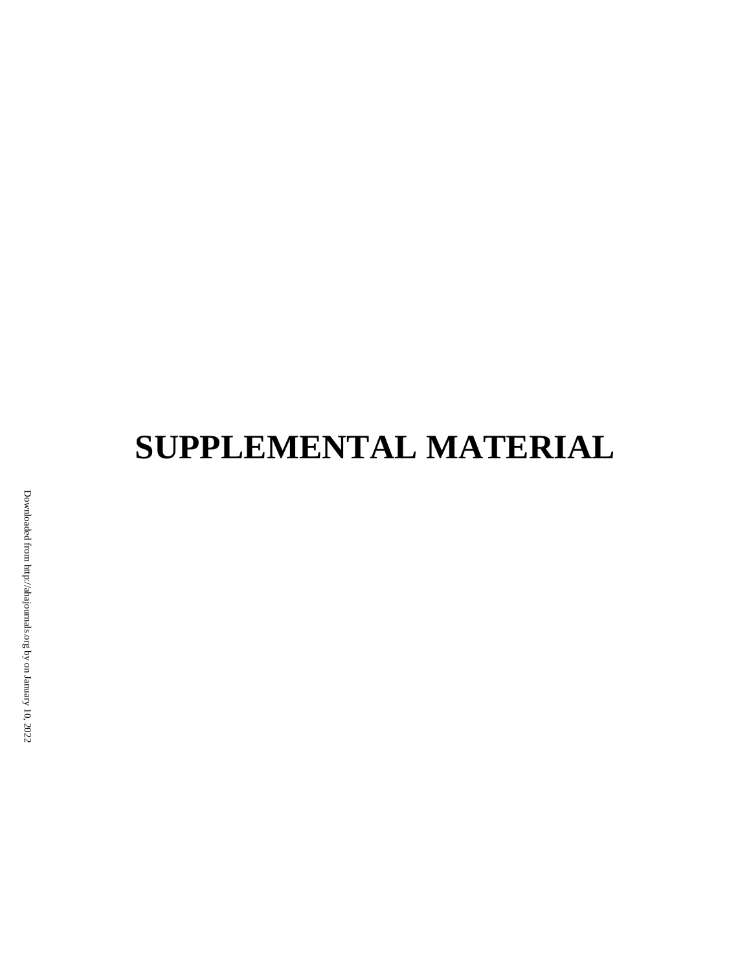# **SUPPLEMENTAL MATERIAL**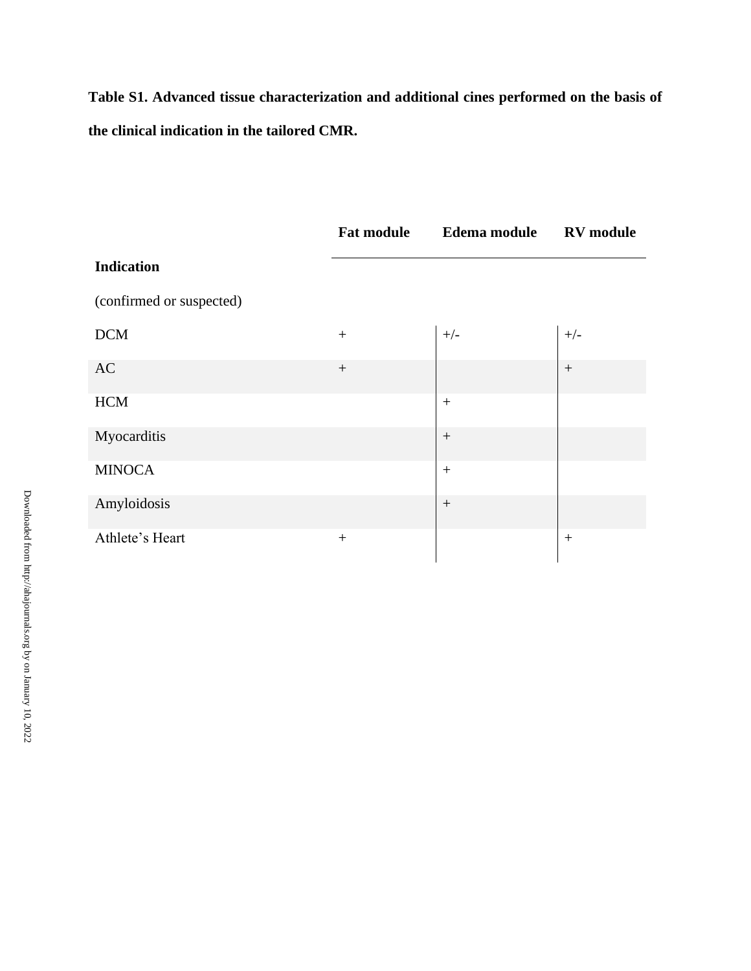**Table S1. Advanced tissue characterization and additional cines performed on the basis of the clinical indication in the tailored CMR.**

|                          | <b>Fat module</b> | Edema module RV module |        |
|--------------------------|-------------------|------------------------|--------|
| <b>Indication</b>        |                   |                        |        |
| (confirmed or suspected) |                   |                        |        |
| <b>DCM</b>               |                   | $+/-$                  | $+/-$  |
| AC                       | $^{+}$            |                        | $+$    |
| <b>HCM</b>               |                   | $+$                    |        |
| Myocarditis              |                   |                        |        |
| <b>MINOCA</b>            |                   | $+$                    |        |
| Amyloidosis              |                   | $+$                    |        |
| Athlete's Heart          | $^{+}$            |                        | $^{+}$ |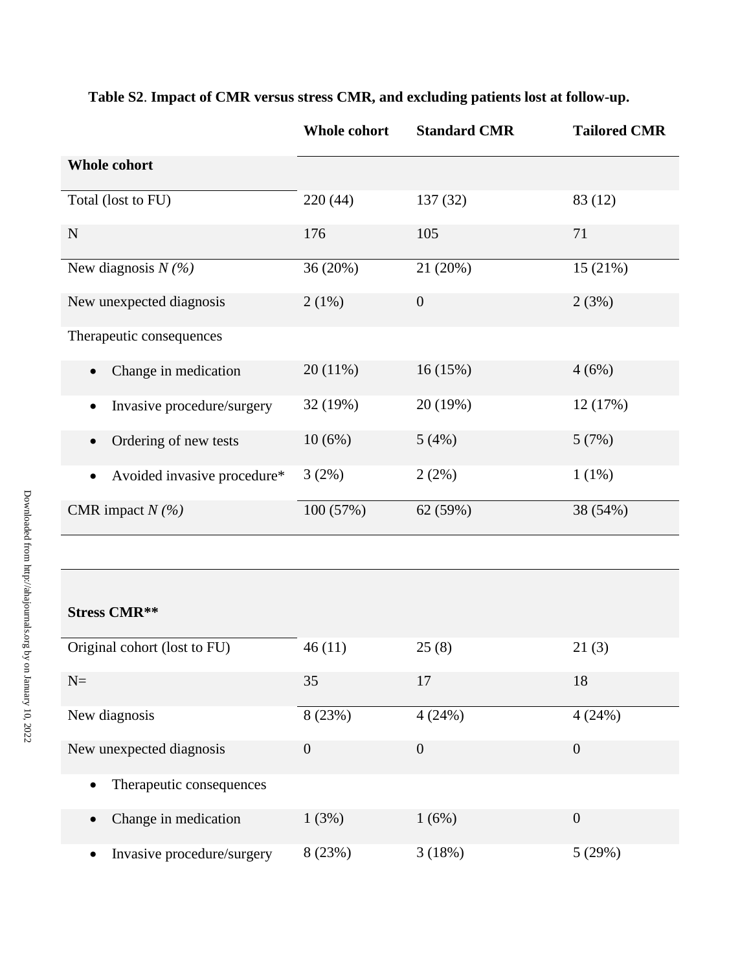|                                          | Whole cohort | <b>Standard CMR</b> | <b>Tailored CMR</b> |
|------------------------------------------|--------------|---------------------|---------------------|
| <b>Whole cohort</b>                      |              |                     |                     |
| Total (lost to FU)                       | 220(44)      | 137(32)             | 83 (12)             |
| N                                        | 176          | 105                 | 71                  |
| New diagnosis $N(\%)$                    | 36 (20%)     | 21 (20%)            | 15(21%)             |
| New unexpected diagnosis                 | 2(1%)        | $\overline{0}$      | 2(3%)               |
| Therapeutic consequences                 |              |                     |                     |
| Change in medication                     | 20(11%)      | 16(15%)             | 4(6%)               |
| Invasive procedure/surgery               | 32 (19%)     | 20 (19%)            | 12 (17%)            |
| Ordering of new tests<br>$\bullet$       | 10(6%)       | 5(4%)               | 5(7%)               |
| Avoided invasive procedure*<br>$\bullet$ | 3(2%)        | 2(2%)               | $1(1\%)$            |
| CMR impact $N(\%)$                       | 100 (57%)    | 62 (59%)            | 38 (54%)            |

# **Table S2**. **Impact of CMR versus stress CMR, and excluding patients lost at follow-up.**

# **Stress CMR\*\***

| Original cohort (lost to FU)          | 46(11)         | 25(8)          | 21(3)          |
|---------------------------------------|----------------|----------------|----------------|
| $N=$                                  | 35             | 17             | 18             |
| New diagnosis                         | 8 (23%)        | 4(24%)         | 4(24%)         |
| New unexpected diagnosis              | $\overline{0}$ | $\overline{0}$ | $\overline{0}$ |
| Therapeutic consequences<br>$\bullet$ |                |                |                |
| Change in medication<br>$\bullet$     | 1(3%)          | 1(6%)          | $\overline{0}$ |
| Invasive procedure/surgery            | 8(23%)         | 3(18%)         | 5(29%)         |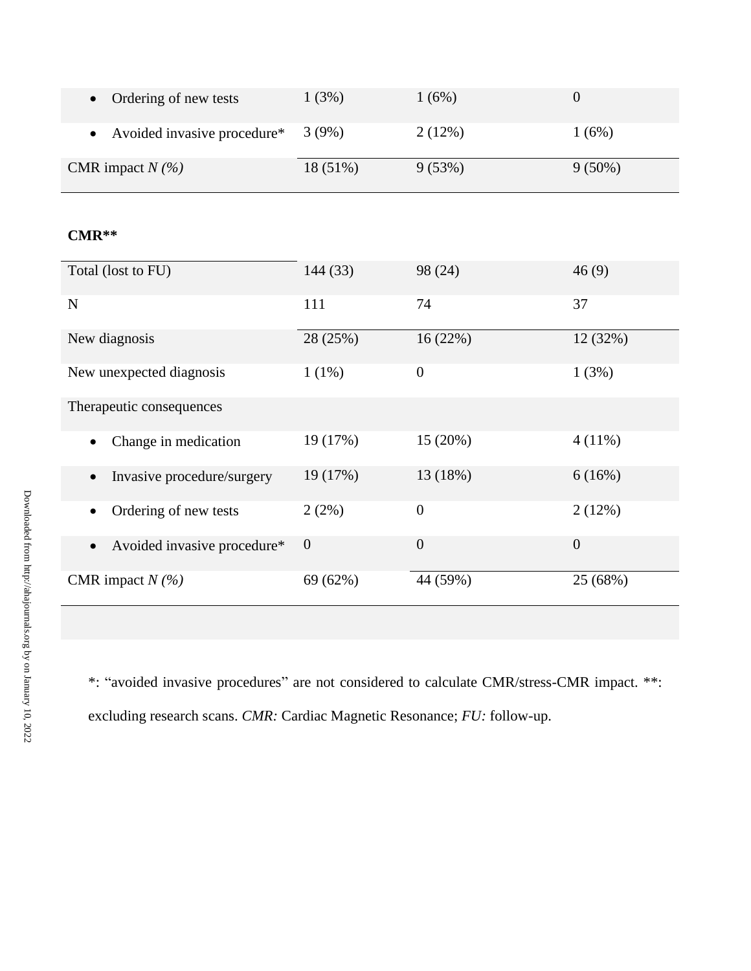| Ordering of new tests                    | 1(3%)          | 1(6%)          | $\boldsymbol{0}$ |
|------------------------------------------|----------------|----------------|------------------|
| Avoided invasive procedure*<br>$\bullet$ | 3(9%)          | 2(12%)         | 1(6%)            |
| CMR impact $N$ (%)                       | 18 (51%)       | 9(53%)         | $9(50\%)$        |
|                                          |                |                |                  |
| $CMR**$                                  |                |                |                  |
| Total (lost to FU)                       | 144 (33)       | 98 (24)        | 46(9)            |
| $\mathbf N$                              | 111            | 74             | 37               |
| New diagnosis                            | 28 (25%)       | 16(22%)        | 12 (32%)         |
| New unexpected diagnosis                 | 1(1%)          | $\overline{0}$ | 1(3%)            |
| Therapeutic consequences                 |                |                |                  |
| Change in medication                     | 19 (17%)       | 15 (20%)       | $4(11\%)$        |
| Invasive procedure/surgery               | 19 (17%)       | 13 (18%)       | 6(16%)           |
| Ordering of new tests<br>$\bullet$       | 2(2%)          | $\overline{0}$ | 2(12%)           |
| Avoided invasive procedure*<br>$\bullet$ | $\overline{0}$ | $\overline{0}$ | $\boldsymbol{0}$ |
| CMR impact $N$ (%)                       | 69 (62%)       | 44 (59%)       | 25 (68%)         |

\*: "avoided invasive procedures" are not considered to calculate CMR/stress-CMR impact. \*\*: excluding research scans. *CMR:* Cardiac Magnetic Resonance; *FU:* follow-up.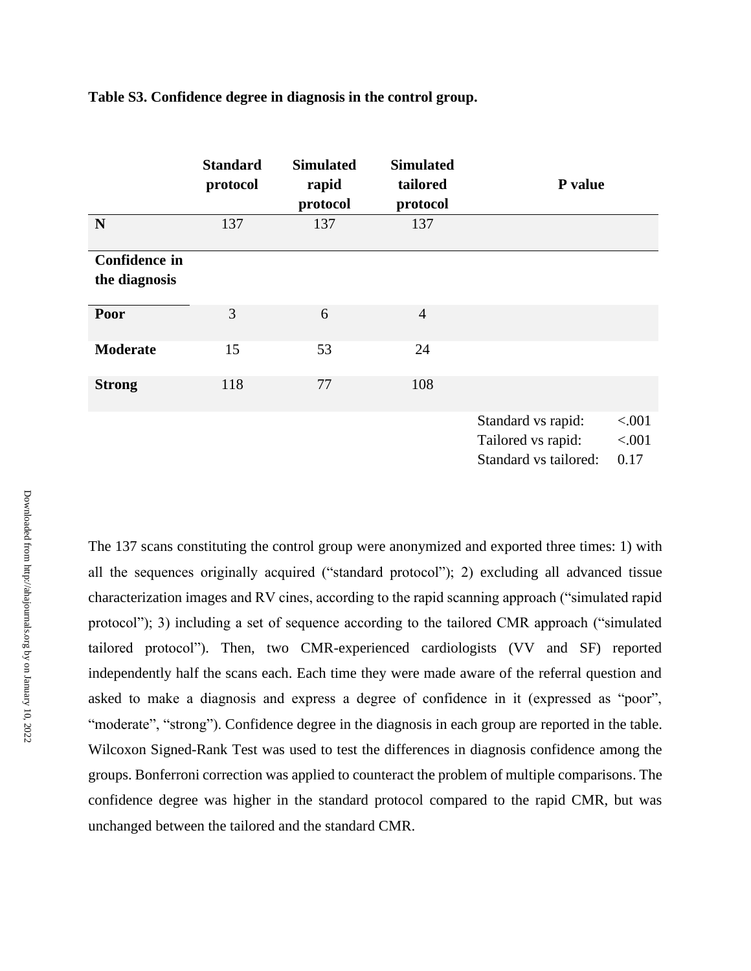|                                       | <b>Standard</b><br>protocol | <b>Simulated</b><br>rapid<br>protocol | <b>Simulated</b><br>tailored<br>protocol | P value                                                           |                          |
|---------------------------------------|-----------------------------|---------------------------------------|------------------------------------------|-------------------------------------------------------------------|--------------------------|
| N                                     | 137                         | 137                                   | 137                                      |                                                                   |                          |
| <b>Confidence in</b><br>the diagnosis |                             |                                       |                                          |                                                                   |                          |
| Poor                                  | 3                           | 6                                     | $\overline{4}$                           |                                                                   |                          |
| <b>Moderate</b>                       | 15                          | 53                                    | 24                                       |                                                                   |                          |
| <b>Strong</b>                         | 118                         | 77                                    | 108                                      |                                                                   |                          |
|                                       |                             |                                       |                                          | Standard vs rapid:<br>Tailored vs rapid:<br>Standard vs tailored: | < .001<br>< .001<br>0.17 |

**Table S3. Confidence degree in diagnosis in the control group.** 

The 137 scans constituting the control group were anonymized and exported three times: 1) with all the sequences originally acquired ("standard protocol"); 2) excluding all advanced tissue characterization images and RV cines, according to the rapid scanning approach ("simulated rapid protocol"); 3) including a set of sequence according to the tailored CMR approach ("simulated tailored protocol"). Then, two CMR-experienced cardiologists (VV and SF) reported independently half the scans each. Each time they were made aware of the referral question and asked to make a diagnosis and express a degree of confidence in it (expressed as "poor", "moderate", "strong"). Confidence degree in the diagnosis in each group are reported in the table. Wilcoxon Signed-Rank Test was used to test the differences in diagnosis confidence among the groups. Bonferroni correction was applied to counteract the problem of multiple comparisons. The confidence degree was higher in the standard protocol compared to the rapid CMR, but was unchanged between the tailored and the standard CMR.